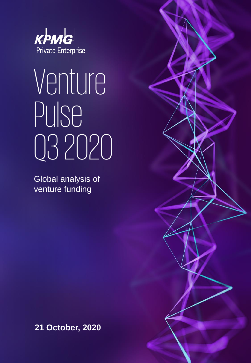

# Venture Pulse Q32020

Global analysis of venture funding

**21 October, 2020**

#Q3VC 1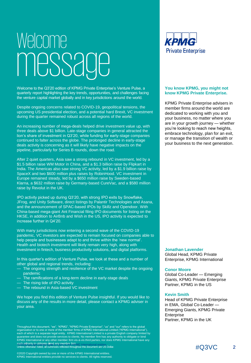# Welcome message

Welcome to the Q3'20 edition of KPMG Private Enterprise's Venture Pulse, a quarterly report highlighting the key trends, opportunities, and challenges facing the venture capital market globally and in key jurisdictions around the world.

Despite ongoing concerns related to COVID-19, geopolitical tensions, the upcoming US presidential election, and a potential hard Brexit, VC investment during the quarter remained robust across all regions of the world.

An increasing number of mega-deals helped drive investment value up, with three deals above \$1 billion. Late-stage companies in general attracted the lion's share of investment in Q3'20, while funding for early-stage companies continued to falter across the globe. The prolonged decline in early-stage deals activity is concerning as it will likely have negative impacts on the pipeline, particularly for Series B rounds, down the road.

After 2 quiet quarters, Asia saw a strong rebound in VC investment, led by a \$1.5 billion raise WM Motor in China, and a \$1.3 billion raise by Flipkart in India. The Americas also saw strong VC activity, led by a \$1.9 billion raise by SpaceX and two \$600 million plus raises by RobinHood. VC investment in Europe remained steady, led by a \$650 million raise by Sweden-based Klarna, a \$632 million raise by Germany-based CureVac, and a \$580 million raise by Revolut in the UK.

IPO activity picked up during Q3'20, with strong IPO exits by Snowflake, JFrog, and Unity Software, direct listings by Palantir Technologies and Asana, and the announcement of SPAC-based IPOs by Skillz and Opendoor. With China-based mega-giant Ant Financial filing IPO documents for listing on the HKSE, in addition to AirBnb and Wish in the US, IPO activity is expected to increase further in Q4'20.

With many jurisdictions now entering a second wave of the COVID-19 pandemic, VC investors are expected to remain focused on companies able to help people and businesses adapt to and thrive within the 'new normal'. Health and biotech investment will likely remain very high, along with investment in fintech, business productivity solutions, and digital platforms.

In this quarter's edition of Venture Pulse, we look at these and a number of other global and regional trends, including:

- The ongoing strength and resilience of the VC market despite the ongoing pandemic
- The ramifications of a long-term decline in early-stage deals
- The rising tide of IPO activity
- The rebound in Asia-based VC investment

We hope you find this edition of Venture Pulse insightful. If you would like to discuss any of the results in more detail, please contact a KPMG adviser in your area.

such arbority to obligate daind any member firm  $_{\rm MC}$  international entities.<br>Unless offerwise noted, all currencies reflected throughout this document are US Dollar. Throughout this document, "we", "KPMG", "KPMG Private Enterprise", "us" and "our" refers to the global<br>organization or to one or more of the member firms of KPMG International Limited ("KPMG International"),<br>each of which



#### **You know KPMG, you might not know KPMG Private Enterprise.**

KPMG Private Enterprise advisers in member firms around the world are dedicated to working with you and your business, no matter where you are in your growth journey — whether you're looking to reach new heights, embrace technology, plan for an exit, or manage the transition of wealth or your business to the next generation.

#### **Jonathan Lavender**

Global Head, KPMG Private Enterprise, KPMG International

#### **Conor Moore**

Global Co-Leader — Emerging Giants, KPMG Private Enterprise Partner, KPMG in the US

#### **Kevin Smith**

Head of KPMG Private Enterprise in EMA, Global Co-Leader — Emerging Giants, KPMG Private **Enterprise** Partner, KPMG in the UK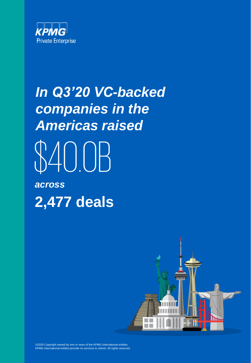

# *In Q3'20 VC-backed companies in the Americas raised* \$40.0B *across* **2,477 deals**



©2020 Copyright owned by one or more of the KPMG International entities. KPMG International entities provide no services to clients. All rights reserved.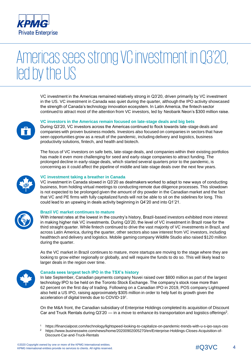

### Americas sees strong VC investment in Q3'20, led by the US

VC investment in the Americas remained relatively strong in Q3'20, driven primarily by VC investment in the US. VC investment in Canada was quiet during the quarter, although the IPO activity showcased the strength of Canada's technology innovation ecosystem. In Latin America, the fintech sector continued to attract most of the attention from VC investors, led by Neobank Neon's \$300 million raise.



#### **VC investors in the Americas remain focused on late-stage deals and big bets**

During Q3'20, VC investors across the Americas continued to flock towards late-stage deals and companies with proven business models. Investors also focused on companies in sectors that have seen opportunities grow as a result of the pandemic, including delivery and logistics, business productivity solutions, fintech, and health and biotech.

The focus of VC investors on safe bets, late-stage deals, and companies within their existing portfolios has made it even more challenging for seed and early-stage companies to attract funding. The prolonged decline in early-stage deals, which started several quarters prior to the pandemic, is concerning as it could affect the pipeline of middle and late-stage deals over the next few years.



#### **VC investment taking a breather in Canada**

VC investment in Canada slowed in Q3'20 as dealmakers worked to adapt to new ways of conducting business, from holding virtual meetings to conducting remote due diligence processes. This slowdown is not expected to be prolonged given the amount of dry powder in the Canadian market and the fact that VC and PE firms with fully capitalized funds will not be able to sit on the sidelines for long. This could lead to an upswing in deals activity beginning in Q4'20 and into Q1'21.



#### **Brazil VC market continues to mature**

With interest rates at the lowest in the country's history, Brazil-based investors exhibited more interest in making higher risk VC investments. During Q3'20, the level of VC investment in Brazil rose for the third straight quarter. While fintech continued to drive the vast majority of VC investments in Brazil, and across Latin America, during the quarter, other sectors also saw interest from VC investors, including healthtech and delivery and logistics. Mobile gaming company Wildlife Studio also raised \$120 million during the quarter.

As the VC market in Brazil continues to mature, more startups are moving to the stage where they are looking to grow either regionally or globally, and will require the funds to do so. This will likely lead to larger deals in the region over time.



#### **Canada sees largest tech IPO in the TSX's history**

In late September, Canadian payments company Nuvei raised over \$800 million as part of the largest technology IPO to be held on the Toronto Stock Exchange. The company's stock rose more than 62 percent on the first day of trading. Following on a Canadian IPO in 2019, POS company Lightspeed also held a US IPO, raising approximately \$305 million in order to help fuel its growth given the acceleration of digital trends due to COVID-19<sup>1</sup>.

On the M&A front, the Canadian subsidiary of Enterprise Holdings completed its acquisition of Discount Car and Truck Rentals during  $Q3'20$  — in a move to enhance its transportation and logistics offerings<sup>2</sup>.

<sup>1</sup> https://financialpost.com/technology/lightspeed-looking-to-capitalize-on-pandemic-trends-with-u-s-ipo-says-ceo 2 [https://www.businesswire.com/news/home/20200902005270/en/Enterprise-Holdings-Closes-Acquisition-of-](https://www.businesswire.com/news/home/20200902005270/en/Enterprise-Holdings-Closes-Acquisition-of-Discount-Car-and-Truck-Rentals)Discount-Car-and-Truck-Rentals

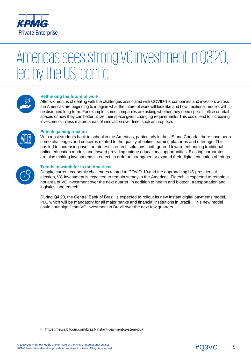

### Americas sees strong VC investment in Q3'20, led by the US, cont'd.



#### **Rethinking the future of work**

After six months of dealing with the challenges associated with COVID-19, companies and investors across the Americas are beginning to imagine what the future of work will look like and how traditional models will be disrupted long-term. For example, some companies are asking whether they need specific office or retail spaces or how they can better utilize their space given changing requirements. This could lead to increasing investments in less mature areas of innovation over time, such as proptech.



#### **Edtech gaining traction**

With most students back to school in the Americas, particularly in the US and Canada, there have been some challenges and concerns related to the quality of online learning platforms and offerings. This has led to increasing investor interest in edtech solutions, both geared toward enhancing traditional online education models and toward providing unique educational opportunities. Existing corporates are also making investments in edtech in order to strengthen or expand their digital education offerings.



#### **Trends to watch for in the Americas**

Despite current economic challenges related to COVID-19 and the approaching US presidential election, VC investment is expected to remain steady in the Americas. Fintech is expected to remain a hot area of VC investment over the next quarter, in addition to health and biotech, transportation and logistics, and edtech.

During Q4'20, the Central Bank of Brazil is expected to rollout its new instant digital payments model, PIX, which will be mandatory for all major banks and financial institutions in Brazil<sup>3</sup>. This new model could spur significant VC investment in Brazil over the next few quarters.

<sup>3</sup> <https://news.bitcoin.com/brazil-instant-payment-system-pix/>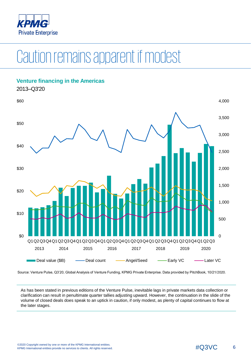

## Caution remains apparent if modest



Source: Venture Pulse, Q3'20, Global Analysis of Venture Funding, KPMG Private Enterprise. Data provided by PitchBook, 10/21/2020.

As has been stated in previous editions of the Venture Pulse, inevitable lags in private markets data collection or clarification can result in penultimate quarter tallies adjusting upward. However, the continuation in the slide of the volume of closed deals does speak to an uptick in caution, if only modest, as plenty of capital continues to flow at the later stages.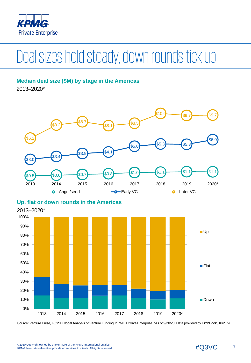

# Deal sizes hold steady, down rounds tick up

### **Median deal size (\$M) by stage in the Americas**

2013–2020\*





### **Up, flat or down rounds in the Americas**

Source: Venture Pulse, Q3'20, Global Analysis of Venture Funding, KPMG Private Enterprise. \*As of 9/30/20. Data provided by PitchBook, 10/21/20.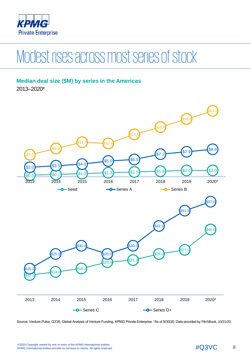

# Modest rises across most series of stock

### **Median deal size (\$M) by series in the Americas**

2013–2020\*



Source: Venture Pulse, Q3'20, Global Analysis of Venture Funding, KPMG Private Enterprise. \*As of 9/30/20. Data provided by PitchBook, 10/21/20.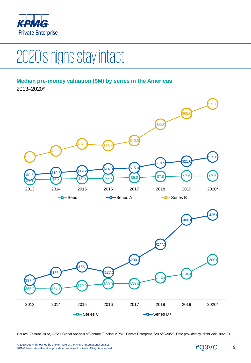

# 2020's highs stay intact

### **Median pre-money valuation (\$M) by series in the Americas**

2013–2020\*



Source: Venture Pulse, Q3'20, Global Analysis of Venture Funding, KPMG Private Enterprise. \*As of 9/30/20. Data provided by PitchBook, 10/21/20.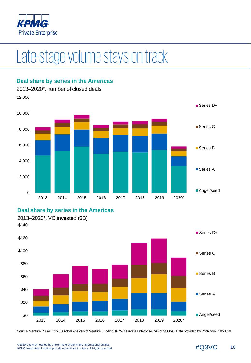

## Late-stage volume stays on track



#### **Deal share by series in the Americas**

**Deal share by series in the Americas**



Source: Venture Pulse, Q3'20, Global Analysis of Venture Funding, KPMG Private Enterprise. \*As of 9/30/20. Data provided by PitchBook, 10/21/20.

©2020 Copyright owned by one or more of the KPMG International entities.<br>KPMG International entities provide no services to clients. All rights reserved.  $\# \rm Q3VC$  10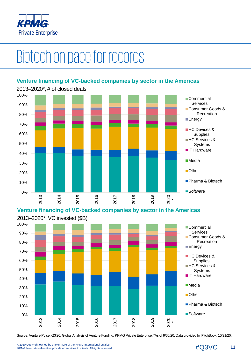

# Biotechon pace for records

### **Venture financing of VC-backed companies by sector in the Americas**



**Venture financing of VC-backed companies by sector in the Americas**



Source: Venture Pulse, Q3'20, Global Analysis of Venture Funding, KPMG Private Enterprise. \*As of 9/30/20. Data provided by PitchBook, 10/21/20.

©2020 Copyright owned by one or more of the KPMG International entities.<br>KPMG International entities provide no services to clients. All rights reserved.  $\#Q3$ VC 11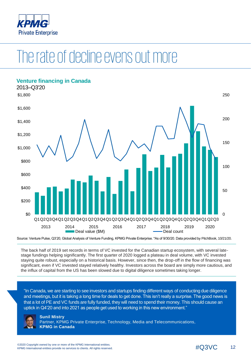

### The rate of decline evens out more



Source: Venture Pulse, Q3'20, Global Analysis of Venture Funding, KPMG Private Enterprise. \*As of 9/30/20. Data provided by PitchBook, 10/21/20.

The back half of 2019 set records in terms of VC invested for the Canadian startup ecosystem, with several latestage fundings helping significantly. The first quarter of 2020 logged a plateau in deal volume, with VC invested staying quite robust, especially on a historical basis. However, since then, the drop-off in the flow of financing was significant, even if VC invested stayed relatively healthy. Investors across the board are simply more cautious, and the influx of capital from the US has been slowed due to digital diligence sometimes taking longer.

"In Canada, we are starting to see investors and startups finding different ways of conducting due diligence and meetings, but it is taking a long time for deals to get done. This isn't really a surprise. The good news is that a lot of PE and VC funds are fully funded, they will need to spend their money. This should cause an uptick in Q4'20 and into 2021 as people get used to working in this new environment."



**Sunil Mistry** Partner, KPMG Private Enterprise, Technology, Media and Telecommunications, **KPMG in Canada**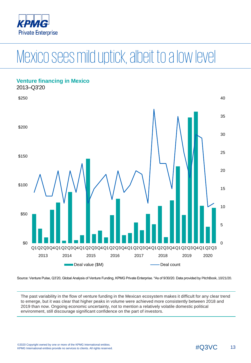

# Mexico sees mild uptick, albeit to a low level



Source: Venture Pulse, Q3'20, Global Analysis of Venture Funding, KPMG Private Enterprise. \*As of 9/30/20. Data provided by PitchBook, 10/21/20.

The past variability in the flow of venture funding in the Mexican ecosystem makes it difficult for any clear trend to emerge, but it was clear that higher peaks in volume were achieved more consistently between 2018 and 2019 than now. Ongoing economic uncertainty, not to mention a relatively volatile domestic political environment, still discourage significant confidence on the part of investors.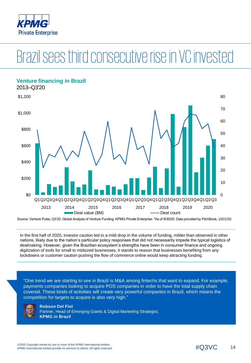

# Brazilsees third consecutive rise in VC invested

### **Venture financing in Brazil** 2013–Q3'20  $\Omega$ 10 20 30 40 50 60 70 80 \$0 \$200 \$400 \$600 \$800 \$1,000 \$1,200 Q1Q2Q3Q4Q1Q2Q3Q4Q1Q2Q3Q4Q1Q2Q3Q4Q1Q2Q3Q4Q1Q2Q3Q4Q1Q2Q3Q4Q1Q2Q3 2013 2014 2015 2016 2017 2018 2019 2020 Deal value (\$M) Deal count

Source: Venture Pulse, Q3'20, Global Analysis of Venture Funding, KPMG Private Enterprise. \*As of 9/30/20. Data provided by PitchBook, 10/21/20.

In the first half of 2020, investor caution led to a mild drop in the volume of funding, milder than observed in other nations, likely due to the nation's particular policy responses that did not necessarily impede the typical logistics of dealmaking. However, given the Brazilian ecosystem's strengths have been in consumer finance and ongoing digitization of tools for small to midsized businesses, it stands to reason that businesses benefiting from any lockdowns or customer caution pushing the flow of commerce online would keep attracting funding.

"One trend we are starting to see in Brazil is M&A among fintechs that want to expand. For example, payments companies looking to acquire POS companies in order to have the total supply chain covered. These kinds of activities will create very powerful companies in Brazil, which means the competition for targets to acquire is also very high."



**Robson Del Fiol** Partner, Head of Emerging Giants & Digital Marketing Strategist, **KPMG in Brazil**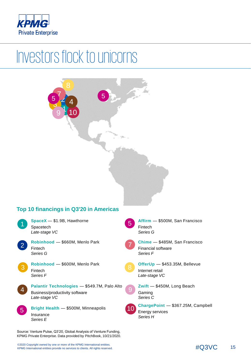

## Investors flock to unicorns

#### **Top 10 financings in Q3'20 in Americas** 4 2 1 3 **Affirm** — \$500M, San Francisco Fintech *Series G* **Chime** — \$485M, San Francisco Financial software *Series F* **OfferUp** — \$453.35M, Bellevue Internet retail *Late-stage VC* **Zwift** — \$450M, Long Beach Gaming *Series C* **ChargePoint** — \$367.25M, Campbell Energy services *Series H* **SpaceX** — \$1.9B, Hawthorne Spacetech *Late-stage VC* **Robinhood** — \$660M, Menlo Park Fintech *Series G* **Robinhood** — \$600M, Menlo Park Fintech *Series F* **Palantir Technologies** — \$549.7M, Palo Alto Business/productivity software *Late-stage VC* **Bright Health** — \$500M, Minneapolis Insurance *Series E* 9 10 1 2 .<br>ک 9 10 7 7 4 5 5  $5/2$  5

Source: Venture Pulse, Q3'20, Global Analysis of Venture Funding, KPMG Private Enterprise. Data provided by PitchBook, 10/21/2020.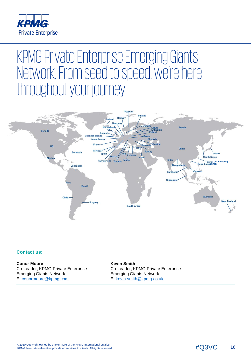

### KPMG Private Enterprise Emerging Giants Network. From seed to speed, we're here throughout your journey



#### **Contact us:**

**Conor Moore** Co-Leader, KPMG Private Enterprise Emerging Giants Network E: [conormoore@kpmg.com](mailto:conormoore@kpmg.com)

**Kevin Smith** Co-Leader, KPMG Private Enterprise Emerging Giants Network E: [kevin.smith@kpmg.co.uk](mailto:kevin.smith@kpmg.co.uk)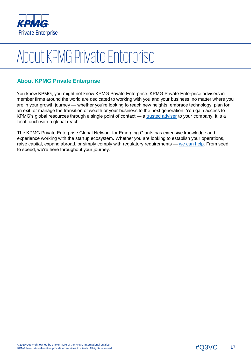

# About KPMG Private Enterprise

### **About KPMG Private Enterprise**

You know KPMG, you might not know KPMG Private Enterprise. KPMG Private Enterprise advisers in member firms around the world are dedicated to working with you and your business, no matter where you are in your growth journey — whether you're looking to reach new heights, embrace technology, plan for an exit, or manage the transition of wealth or your business to the next generation. You gain access to KPMG's global resources through a single point of contact — a [trusted adviser](https://home.kpmg.com/xx/en/home/services/enterprise/business-beyond-borders.html) to your company. It is a local touch with a global reach.

The KPMG Private Enterprise Global Network for Emerging Giants has extensive knowledge and experience working with the startup ecosystem. Whether you are looking to establish your operations, raise capital, expand abroad, or simply comply with regulatory requirements — [we can help](https://home.kpmg.com/xx/en/home/services/enterprise/starting-your-business/find-startup-adviser.html). From seed to speed, we're here throughout your journey.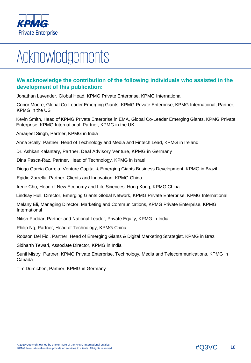

# Acknowledgements

### **We acknowledge the contribution of the following individuals who assisted in the development of this publication:**

Jonathan Lavender, Global Head, KPMG Private Enterprise, KPMG International

Conor Moore, Global Co-Leader Emerging Giants, KPMG Private Enterprise, KPMG International, Partner, KPMG in the US

Kevin Smith, Head of KPMG Private Enterprise in EMA, Global Co-Leader Emerging Giants, KPMG Private Enterprise, KPMG International, Partner, KPMG in the UK

Amarjeet Singh, Partner, KPMG in India

Anna Scally, Partner, Head of Technology and Media and Fintech Lead, KPMG in Ireland

Dr. Ashkan Kalantary, Partner, Deal Advisory Venture, KPMG in Germany

Dina Pasca-Raz, Partner, Head of Technology, KPMG in Israel

Diogo Garcia Correia, Venture Capital & Emerging Giants Business Development, KPMG in Brazil

Egidio Zarrella, Partner, Clients and Innovation, KPMG China

Irene Chu, Head of New Economy and Life Sciences, Hong Kong, KPMG China

Lindsay Hull, Director, Emerging Giants Global Network, KPMG Private Enterprise, KPMG International

Melany Eli, Managing Director, Marketing and Communications, KPMG Private Enterprise, KPMG International

Nitish Poddar, Partner and National Leader, Private Equity, KPMG in India

Philip Ng, Partner, Head of Technology, KPMG China

Robson Del Fiol, Partner, Head of Emerging Giants & Digital Marketing Strategist, KPMG in Brazil

Sidharth Tewari, Associate Director, KPMG in India

Sunil Mistry, Partner, KPMG Private Enterprise, Technology, Media and Telecommunications, KPMG in Canada

Tim Dümichen, Partner, KPMG in Germany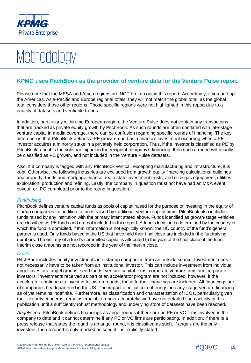

# **Methodology**

### **KPMG uses PitchBook as the provider of venture data for the Venture Pulse report.**

Please note that the MESA and Africa regions are NOT broken out in this report. Accordingly, if you add up the Americas, Asia-Pacific and Europe regional totals, they will not match the global total, as the global total considers those other regions. Those specific regions were not highlighted in this report due to a paucity of datasets and verifiable trends.

In addition, particularly within the European region, the Venture Pulse does not contain any transactions that are tracked as private equity growth by PitchBook. As such rounds are often conflated with late-stage venture capital in media coverage, there can be confusion regarding specific rounds of financing. The key difference is that PitchBook defines a PE growth round as a financial investment occurring when a PE investor acquires a minority stake in a privately held corporation. Thus, if the investor is classified as PE by PitchBook, and it is the sole participant in the recipient company's financing, then such a round will usually be classified as PE growth, and not included in the Venture Pulse datasets.

Also, if a company is tagged with any PitchBook vertical, excepting manufacturing and infrastructure, it is kept. Otherwise, the following industries are excluded from growth equity financing calculations: buildings and property, thrifts and mortgage finance, real estate investment trusts, and oil & gas equipment, utilities, exploration, production and refining. Lastly, the company in question must not have had an M&A event, buyout, or IPO completed prior to the round in question.

#### *Fundraising*

PitchBook defines venture capital funds as pools of capital raised for the purpose of investing in the equity of startup companies. In addition to funds raised by traditional venture capital firms, PitchBook also includes funds raised by any institution with the primary intent stated above. Funds identified as growth-stage vehicles are classified as PE funds and are not included in this report. A fund's location is determined by the country in which the fund is domiciled, if that information is not explicitly known, the HQ country of the fund's general partner is used. Only funds based in the US that have held their final close are included in the fundraising numbers. The entirety of a fund's committed capital is attributed to the year of the final close of the fund. Interim close amounts are not recorded in the year of the interim close.

#### *Deals*

PitchBook includes equity investments into startup companies from an outside source. Investment does not necessarily have to be taken from an institutional investor. This can include investment from individual angel investors, angel groups, seed funds, venture capital firms, corporate venture firms and corporate investors. Investments received as part of an accelerator program are not included, however, if the accelerator continues to invest in follow-on rounds, those further financings are included. All financings are of companies headquartered in the US. The impact of initial coin offerings on early-stage venture financing as of yet remains indefinite. Furthermore, as classification and characterization of ICOs, particularly given their security concerns, remains crucial to render accurately, we have not detailed such activity in this publication until a sufficiently robust methodology and underlying store of datasets have been reached.

*Angel/seed*: PitchBook defines financings as angel rounds if there are no PE or VC firms involved in the company to date and it cannot determine if any PE or VC firms are participating. In addition, if there is a press release that states the round is an angel round, it is classified as such. If angels are the only investors, then a round is only marked as seed if it is explicitly stated.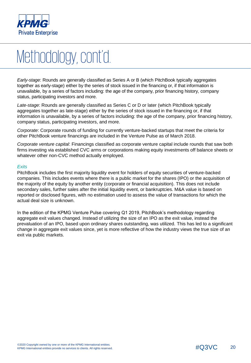

# Methodology, cont'd.

*Early-stage*: Rounds are generally classified as Series A or B (which PitchBook typically aggregates together as early-stage) either by the series of stock issued in the financing or, if that information is unavailable, by a series of factors including: the age of the company, prior financing history, company status, participating investors and more.

*Late-stage*: Rounds are generally classified as Series C or D or later (which PitchBook typically aggregates together as late-stage) either by the series of stock issued in the financing or, if that information is unavailable, by a series of factors including: the age of the company, prior financing history, company status, participating investors, and more.

*Corporate*: Corporate rounds of funding for currently venture-backed startups that meet the criteria for other PitchBook venture financings are included in the Venture Pulse as of March 2018.

*Corporate venture capital*: Financings classified as corporate venture capital include rounds that saw both firms investing via established CVC arms or corporations making equity investments off balance sheets or whatever other non-CVC method actually employed.

#### *Exits*

PitchBook includes the first majority liquidity event for holders of equity securities of venture-backed companies. This includes events where there is a public market for the shares (IPO) or the acquisition of the majority of the equity by another entity (corporate or financial acquisition). This does not include secondary sales, further sales after the initial liquidity event, or bankruptcies. M&A value is based on reported or disclosed figures, with no estimation used to assess the value of transactions for which the actual deal size is unknown.

In the edition of the KPMG Venture Pulse covering Q1 2019, PitchBook's methodology regarding aggregate exit values changed. Instead of utilizing the size of an IPO as the exit value, instead the prevaluation of an IPO, based upon ordinary shares outstanding, was utilized. This has led to a significant change in aggregate exit values since, yet is more reflective of how the industry views the true size of an exit via public markets.